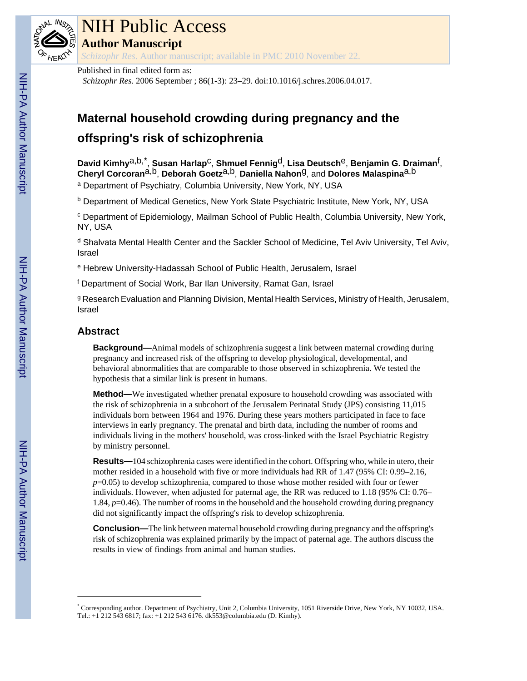

# NIH Public Access

**Author Manuscript**

*Schizophr Res*. Author manuscript; available in PMC 2010 November 22.

Published in final edited form as:

*Schizophr Res*. 2006 September ; 86(1-3): 23–29. doi:10.1016/j.schres.2006.04.017.

# **Maternal household crowding during pregnancy and the offspring's risk of schizophrenia**

**David Kimhy**a,b,\* , **Susan Harlap**c, **Shmuel Fennig**d, **Lisa Deutsch**e, **Benjamin G. Draiman**f , **Cheryl Corcoran**a,b, **Deborah Goetz**a,b, **Daniella Nahon**g, and **Dolores Malaspina**a,b <sup>a</sup> Department of Psychiatry, Columbia University, New York, NY, USA

<sup>b</sup> Department of Medical Genetics, New York State Psychiatric Institute, New York, NY, USA

<sup>c</sup> Department of Epidemiology, Mailman School of Public Health, Columbia University, New York, NY, USA

<sup>d</sup> Shalvata Mental Health Center and the Sackler School of Medicine, Tel Aviv University, Tel Aviv, Israel

e Hebrew University-Hadassah School of Public Health, Jerusalem, Israel

f Department of Social Work, Bar Ilan University, Ramat Gan, Israel

<sup>g</sup> Research Evaluation and Planning Division, Mental Health Services, Ministry of Health, Jerusalem, Israel

# **Abstract**

**Background—**Animal models of schizophrenia suggest a link between maternal crowding during pregnancy and increased risk of the offspring to develop physiological, developmental, and behavioral abnormalities that are comparable to those observed in schizophrenia. We tested the hypothesis that a similar link is present in humans.

**Method—**We investigated whether prenatal exposure to household crowding was associated with the risk of schizophrenia in a subcohort of the Jerusalem Perinatal Study (JPS) consisting 11,015 individuals born between 1964 and 1976. During these years mothers participated in face to face interviews in early pregnancy. The prenatal and birth data, including the number of rooms and individuals living in the mothers' household, was cross-linked with the Israel Psychiatric Registry by ministry personnel.

**Results—**104 schizophrenia cases were identified in the cohort. Offspring who, while in utero, their mother resided in a household with five or more individuals had RR of 1.47 (95% CI: 0.99–2.16, *p*=0.05) to develop schizophrenia, compared to those whose mother resided with four or fewer individuals. However, when adjusted for paternal age, the RR was reduced to 1.18 (95% CI: 0.76– 1.84, *p*=0.46). The number of rooms in the household and the household crowding during pregnancy did not significantly impact the offspring's risk to develop schizophrenia.

**Conclusion—**The link between maternal household crowding during pregnancy and the offspring's risk of schizophrenia was explained primarily by the impact of paternal age. The authors discuss the results in view of findings from animal and human studies.

<sup>\*</sup> Corresponding author. Department of Psychiatry, Unit 2, Columbia University, 1051 Riverside Drive, New York, NY 10032, USA. Tel.: +1 212 543 6817; fax: +1 212 543 6176. dk553@columbia.edu (D. Kimhy).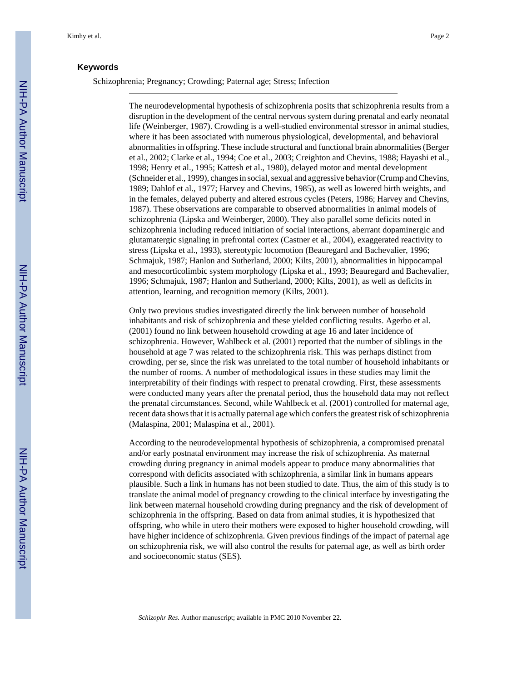Schizophrenia; Pregnancy; Crowding; Paternal age; Stress; Infection

The neurodevelopmental hypothesis of schizophrenia posits that schizophrenia results from a disruption in the development of the central nervous system during prenatal and early neonatal life (Weinberger, 1987). Crowding is a well-studied environmental stressor in animal studies, where it has been associated with numerous physiological, developmental, and behavioral abnormalities in offspring. These include structural and functional brain abnormalities (Berger et al., 2002; Clarke et al., 1994; Coe et al., 2003; Creighton and Chevins, 1988; Hayashi et al., 1998; Henry et al., 1995; Kattesh et al., 1980), delayed motor and mental development (Schneider et al., 1999), changes in social, sexual and aggressive behavior (Crump and Chevins, 1989; Dahlof et al., 1977; Harvey and Chevins, 1985), as well as lowered birth weights, and in the females, delayed puberty and altered estrous cycles (Peters, 1986; Harvey and Chevins, 1987). These observations are comparable to observed abnormalities in animal models of schizophrenia (Lipska and Weinberger, 2000). They also parallel some deficits noted in schizophrenia including reduced initiation of social interactions, aberrant dopaminergic and glutamatergic signaling in prefrontal cortex (Castner et al., 2004), exaggerated reactivity to stress (Lipska et al., 1993), stereotypic locomotion (Beauregard and Bachevalier, 1996; Schmajuk, 1987; Hanlon and Sutherland, 2000; Kilts, 2001), abnormalities in hippocampal and mesocorticolimbic system morphology (Lipska et al., 1993; Beauregard and Bachevalier, 1996; Schmajuk, 1987; Hanlon and Sutherland, 2000; Kilts, 2001), as well as deficits in attention, learning, and recognition memory (Kilts, 2001).

Only two previous studies investigated directly the link between number of household inhabitants and risk of schizophrenia and these yielded conflicting results. Agerbo et al. (2001) found no link between household crowding at age 16 and later incidence of schizophrenia. However, Wahlbeck et al. (2001) reported that the number of siblings in the household at age 7 was related to the schizophrenia risk. This was perhaps distinct from crowding, per se, since the risk was unrelated to the total number of household inhabitants or the number of rooms. A number of methodological issues in these studies may limit the interpretability of their findings with respect to prenatal crowding. First, these assessments were conducted many years after the prenatal period, thus the household data may not reflect the prenatal circumstances. Second, while Wahlbeck et al. (2001) controlled for maternal age, recent data shows that it is actually paternal age which confers the greatest risk of schizophrenia (Malaspina, 2001; Malaspina et al., 2001).

According to the neurodevelopmental hypothesis of schizophrenia, a compromised prenatal and/or early postnatal environment may increase the risk of schizophrenia. As maternal crowding during pregnancy in animal models appear to produce many abnormalities that correspond with deficits associated with schizophrenia, a similar link in humans appears plausible. Such a link in humans has not been studied to date. Thus, the aim of this study is to translate the animal model of pregnancy crowding to the clinical interface by investigating the link between maternal household crowding during pregnancy and the risk of development of schizophrenia in the offspring. Based on data from animal studies, it is hypothesized that offspring, who while in utero their mothers were exposed to higher household crowding, will have higher incidence of schizophrenia. Given previous findings of the impact of paternal age on schizophrenia risk, we will also control the results for paternal age, as well as birth order and socioeconomic status (SES).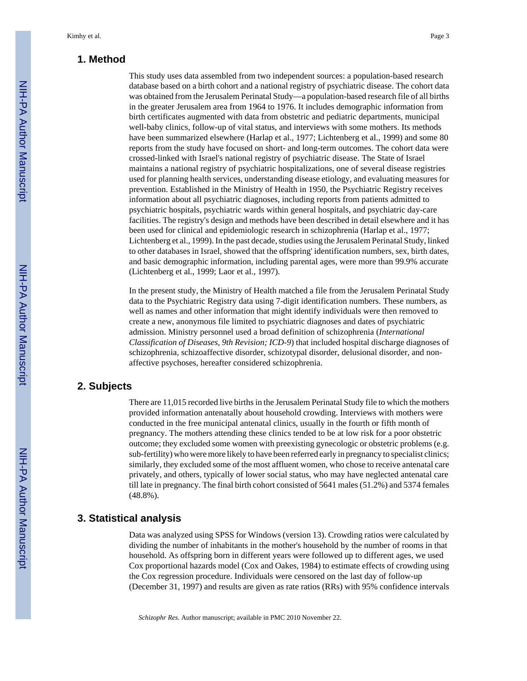# **1. Method**

This study uses data assembled from two independent sources: a population-based research database based on a birth cohort and a national registry of psychiatric disease. The cohort data was obtained from the Jerusalem Perinatal Study—a population-based research file of all births in the greater Jerusalem area from 1964 to 1976. It includes demographic information from birth certificates augmented with data from obstetric and pediatric departments, municipal well-baby clinics, follow-up of vital status, and interviews with some mothers. Its methods have been summarized elsewhere (Harlap et al., 1977; Lichtenberg et al., 1999) and some 80 reports from the study have focused on short- and long-term outcomes. The cohort data were crossed-linked with Israel's national registry of psychiatric disease. The State of Israel maintains a national registry of psychiatric hospitalizations, one of several disease registries used for planning health services, understanding disease etiology, and evaluating measures for prevention. Established in the Ministry of Health in 1950, the Psychiatric Registry receives information about all psychiatric diagnoses, including reports from patients admitted to psychiatric hospitals, psychiatric wards within general hospitals, and psychiatric day-care facilities. The registry's design and methods have been described in detail elsewhere and it has been used for clinical and epidemiologic research in schizophrenia (Harlap et al., 1977; Lichtenberg et al., 1999). In the past decade, studies using the Jerusalem Perinatal Study, linked to other databases in Israel, showed that the offspring' identification numbers, sex, birth dates, and basic demographic information, including parental ages, were more than 99.9% accurate (Lichtenberg et al., 1999; Laor et al., 1997).

In the present study, the Ministry of Health matched a file from the Jerusalem Perinatal Study data to the Psychiatric Registry data using 7-digit identification numbers. These numbers, as well as names and other information that might identify individuals were then removed to create a new, anonymous file limited to psychiatric diagnoses and dates of psychiatric admission. Ministry personnel used a broad definition of schizophrenia (*International Classification of Diseases, 9th Revision; ICD-9*) that included hospital discharge diagnoses of schizophrenia, schizoaffective disorder, schizotypal disorder, delusional disorder, and nonaffective psychoses, hereafter considered schizophrenia.

# **2. Subjects**

There are 11,015 recorded live births in the Jerusalem Perinatal Study file to which the mothers provided information antenatally about household crowding. Interviews with mothers were conducted in the free municipal antenatal clinics, usually in the fourth or fifth month of pregnancy. The mothers attending these clinics tended to be at low risk for a poor obstetric outcome; they excluded some women with preexisting gynecologic or obstetric problems (e.g. sub-fertility) who were more likely to have been referred early in pregnancy to specialist clinics; similarly, they excluded some of the most affluent women, who chose to receive antenatal care privately, and others, typically of lower social status, who may have neglected antenatal care till late in pregnancy. The final birth cohort consisted of 5641 males (51.2%) and 5374 females (48.8%).

#### **3. Statistical analysis**

Data was analyzed using SPSS for Windows (version 13). Crowding ratios were calculated by dividing the number of inhabitants in the mother's household by the number of rooms in that household. As offspring born in different years were followed up to different ages, we used Cox proportional hazards model (Cox and Oakes, 1984) to estimate effects of crowding using the Cox regression procedure. Individuals were censored on the last day of follow-up (December 31, 1997) and results are given as rate ratios (RRs) with 95% confidence intervals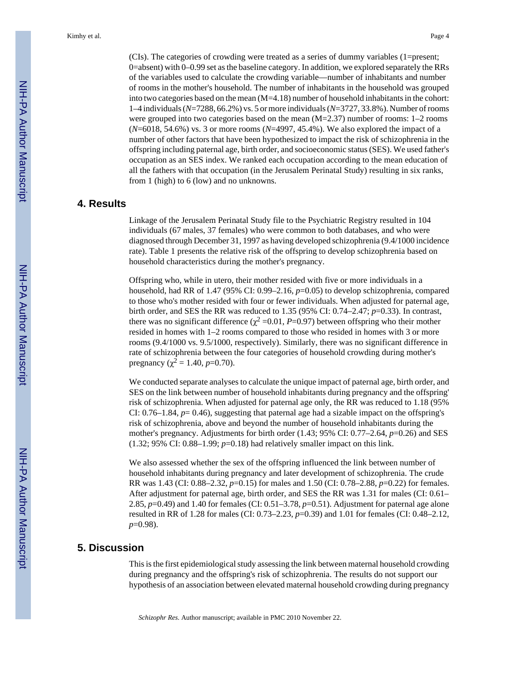(CIs). The categories of crowding were treated as a series of dummy variables (1=present; 0=absent) with 0–0.99 set as the baseline category. In addition, we explored separately the RRs of the variables used to calculate the crowding variable—number of inhabitants and number of rooms in the mother's household. The number of inhabitants in the household was grouped into two categories based on the mean  $(M=4.18)$  number of household inhabitants in the cohort: 1–4 individuals (*N*=7288, 66.2%) vs. 5 or more individuals (*N*=3727, 33.8%). Number of rooms were grouped into two categories based on the mean (M=2.37) number of rooms: 1–2 rooms (*N*=6018, 54.6%) vs. 3 or more rooms (*N*=4997, 45.4%). We also explored the impact of a number of other factors that have been hypothesized to impact the risk of schizophrenia in the offspring including paternal age, birth order, and socioeconomic status (SES). We used father's occupation as an SES index. We ranked each occupation according to the mean education of all the fathers with that occupation (in the Jerusalem Perinatal Study) resulting in six ranks, from 1 (high) to 6 (low) and no unknowns.

# **4. Results**

Linkage of the Jerusalem Perinatal Study file to the Psychiatric Registry resulted in 104 individuals (67 males, 37 females) who were common to both databases, and who were diagnosed through December 31, 1997 as having developed schizophrenia (9.4/1000 incidence rate). Table 1 presents the relative risk of the offspring to develop schizophrenia based on household characteristics during the mother's pregnancy.

Offspring who, while in utero, their mother resided with five or more individuals in a household, had RR of 1.47 (95% CI: 0.99–2.16,  $p=0.05$ ) to develop schizophrenia, compared to those who's mother resided with four or fewer individuals. When adjusted for paternal age, birth order, and SES the RR was reduced to 1.35 (95% CI: 0.74–2.47; *p*=0.33). In contrast, there was no significant difference ( $\chi^2$  =0.01, *P*=0.97) between offspring who their mother resided in homes with 1–2 rooms compared to those who resided in homes with 3 or more rooms (9.4/1000 vs. 9.5/1000, respectively). Similarly, there was no significant difference in rate of schizophrenia between the four categories of household crowding during mother's pregnancy ( $\chi^2 = 1.40$ , *p*=0.70).

We conducted separate analyses to calculate the unique impact of paternal age, birth order, and SES on the link between number of household inhabitants during pregnancy and the offspring' risk of schizophrenia. When adjusted for paternal age only, the RR was reduced to 1.18 (95% CI:  $0.76-1.84$ ,  $p=0.46$ ), suggesting that paternal age had a sizable impact on the offspring's risk of schizophrenia, above and beyond the number of household inhabitants during the mother's pregnancy. Adjustments for birth order (1.43; 95% CI: 0.77–2.64, *p*=0.26) and SES  $(1.32; 95\% \text{ CI: } 0.88-1.99; p=0.18)$  had relatively smaller impact on this link.

We also assessed whether the sex of the offspring influenced the link between number of household inhabitants during pregnancy and later development of schizophrenia. The crude RR was 1.43 (CI: 0.88–2.32, *p*=0.15) for males and 1.50 (CI: 0.78–2.88, *p*=0.22) for females. After adjustment for paternal age, birth order, and SES the RR was 1.31 for males (CI: 0.61– 2.85, *p*=0.49) and 1.40 for females (CI: 0.51–3.78, *p*=0.51). Adjustment for paternal age alone resulted in RR of 1.28 for males (CI: 0.73–2.23, *p*=0.39) and 1.01 for females (CI: 0.48–2.12, *p*=0.98).

#### **5. Discussion**

This is the first epidemiological study assessing the link between maternal household crowding during pregnancy and the offspring's risk of schizophrenia. The results do not support our hypothesis of an association between elevated maternal household crowding during pregnancy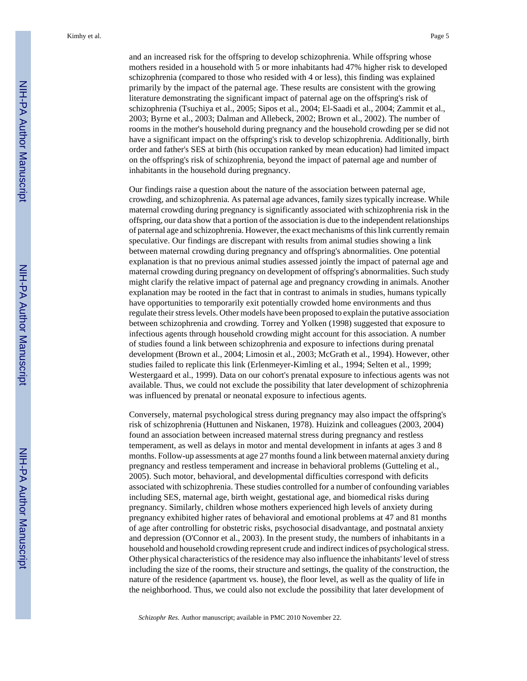Kimhy et al. Page 5

and an increased risk for the offspring to develop schizophrenia. While offspring whose mothers resided in a household with 5 or more inhabitants had 47% higher risk to developed schizophrenia (compared to those who resided with 4 or less), this finding was explained primarily by the impact of the paternal age. These results are consistent with the growing literature demonstrating the significant impact of paternal age on the offspring's risk of schizophrenia (Tsuchiya et al., 2005; Sipos et al., 2004; El-Saadi et al., 2004; Zammit et al., 2003; Byrne et al., 2003; Dalman and Allebeck, 2002; Brown et al., 2002). The number of rooms in the mother's household during pregnancy and the household crowding per se did not have a significant impact on the offspring's risk to develop schizophrenia. Additionally, birth order and father's SES at birth (his occupation ranked by mean education) had limited impact on the offspring's risk of schizophrenia, beyond the impact of paternal age and number of inhabitants in the household during pregnancy.

Our findings raise a question about the nature of the association between paternal age, crowding, and schizophrenia. As paternal age advances, family sizes typically increase. While maternal crowding during pregnancy is significantly associated with schizophrenia risk in the offspring, our data show that a portion of the association is due to the independent relationships of paternal age and schizophrenia. However, the exact mechanisms of this link currently remain speculative. Our findings are discrepant with results from animal studies showing a link between maternal crowding during pregnancy and offspring's abnormalities. One potential explanation is that no previous animal studies assessed jointly the impact of paternal age and maternal crowding during pregnancy on development of offspring's abnormalities. Such study might clarify the relative impact of paternal age and pregnancy crowding in animals. Another explanation may be rooted in the fact that in contrast to animals in studies, humans typically have opportunities to temporarily exit potentially crowded home environments and thus regulate their stress levels. Other models have been proposed to explain the putative association between schizophrenia and crowding. Torrey and Yolken (1998) suggested that exposure to infectious agents through household crowding might account for this association. A number of studies found a link between schizophrenia and exposure to infections during prenatal development (Brown et al., 2004; Limosin et al., 2003; McGrath et al., 1994). However, other studies failed to replicate this link (Erlenmeyer-Kimling et al., 1994; Selten et al., 1999; Westergaard et al., 1999). Data on our cohort's prenatal exposure to infectious agents was not available. Thus, we could not exclude the possibility that later development of schizophrenia was influenced by prenatal or neonatal exposure to infectious agents.

Conversely, maternal psychological stress during pregnancy may also impact the offspring's risk of schizophrenia (Huttunen and Niskanen, 1978). Huizink and colleagues (2003, 2004) found an association between increased maternal stress during pregnancy and restless temperament, as well as delays in motor and mental development in infants at ages 3 and 8 months. Follow-up assessments at age 27 months found a link between maternal anxiety during pregnancy and restless temperament and increase in behavioral problems (Gutteling et al., 2005). Such motor, behavioral, and developmental difficulties correspond with deficits associated with schizophrenia. These studies controlled for a number of confounding variables including SES, maternal age, birth weight, gestational age, and biomedical risks during pregnancy. Similarly, children whose mothers experienced high levels of anxiety during pregnancy exhibited higher rates of behavioral and emotional problems at 47 and 81 months of age after controlling for obstetric risks, psychosocial disadvantage, and postnatal anxiety and depression (O'Connor et al., 2003). In the present study, the numbers of inhabitants in a household and household crowding represent crude and indirect indices of psychological stress. Other physical characteristics of the residence may also influence the inhabitants' level of stress including the size of the rooms, their structure and settings, the quality of the construction, the nature of the residence (apartment vs. house), the floor level, as well as the quality of life in the neighborhood. Thus, we could also not exclude the possibility that later development of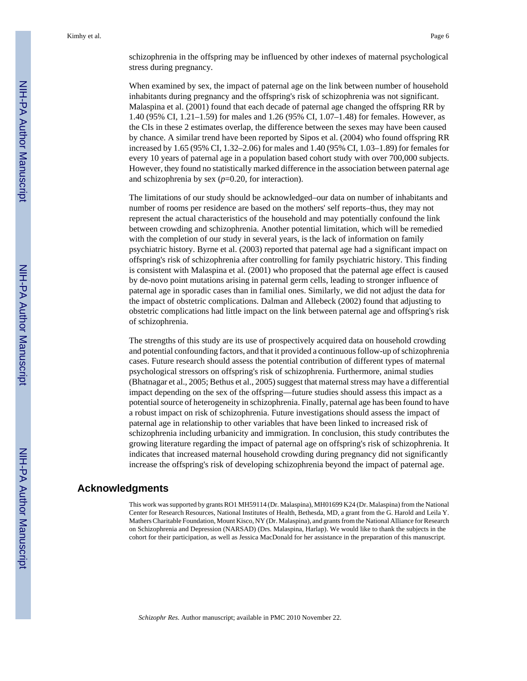schizophrenia in the offspring may be influenced by other indexes of maternal psychological stress during pregnancy.

When examined by sex, the impact of paternal age on the link between number of household inhabitants during pregnancy and the offspring's risk of schizophrenia was not significant. Malaspina et al. (2001) found that each decade of paternal age changed the offspring RR by 1.40 (95% CI, 1.21–1.59) for males and 1.26 (95% CI, 1.07–1.48) for females. However, as the CIs in these 2 estimates overlap, the difference between the sexes may have been caused by chance. A similar trend have been reported by Sipos et al. (2004) who found offspring RR increased by 1.65 (95% CI, 1.32–2.06) for males and 1.40 (95% CI, 1.03–1.89) for females for every 10 years of paternal age in a population based cohort study with over 700,000 subjects. However, they found no statistically marked difference in the association between paternal age and schizophrenia by sex (*p*=0.20, for interaction).

The limitations of our study should be acknowledged–our data on number of inhabitants and number of rooms per residence are based on the mothers' self reports–thus, they may not represent the actual characteristics of the household and may potentially confound the link between crowding and schizophrenia. Another potential limitation, which will be remedied with the completion of our study in several years, is the lack of information on family psychiatric history. Byrne et al. (2003) reported that paternal age had a significant impact on offspring's risk of schizophrenia after controlling for family psychiatric history. This finding is consistent with Malaspina et al. (2001) who proposed that the paternal age effect is caused by de-novo point mutations arising in paternal germ cells, leading to stronger influence of paternal age in sporadic cases than in familial ones. Similarly, we did not adjust the data for the impact of obstetric complications. Dalman and Allebeck (2002) found that adjusting to obstetric complications had little impact on the link between paternal age and offspring's risk of schizophrenia.

The strengths of this study are its use of prospectively acquired data on household crowding and potential confounding factors, and that it provided a continuous follow-up of schizophrenia cases. Future research should assess the potential contribution of different types of maternal psychological stressors on offspring's risk of schizophrenia. Furthermore, animal studies (Bhatnagar et al., 2005; Bethus et al., 2005) suggest that maternal stress may have a differential impact depending on the sex of the offspring—future studies should assess this impact as a potential source of heterogeneity in schizophrenia. Finally, paternal age has been found to have a robust impact on risk of schizophrenia. Future investigations should assess the impact of paternal age in relationship to other variables that have been linked to increased risk of schizophrenia including urbanicity and immigration. In conclusion, this study contributes the growing literature regarding the impact of paternal age on offspring's risk of schizophrenia. It indicates that increased maternal household crowding during pregnancy did not significantly increase the offspring's risk of developing schizophrenia beyond the impact of paternal age.

## **Acknowledgments**

This work was supported by grants RO1 MH59114 (Dr. Malaspina), MH01699 K24 (Dr. Malaspina) from the National Center for Research Resources, National Institutes of Health, Bethesda, MD, a grant from the G. Harold and Leila Y. Mathers Charitable Foundation, Mount Kisco, NY (Dr. Malaspina), and grants from the National Alliance for Research on Schizophrenia and Depression (NARSAD) (Drs. Malaspina, Harlap). We would like to thank the subjects in the cohort for their participation, as well as Jessica MacDonald for her assistance in the preparation of this manuscript.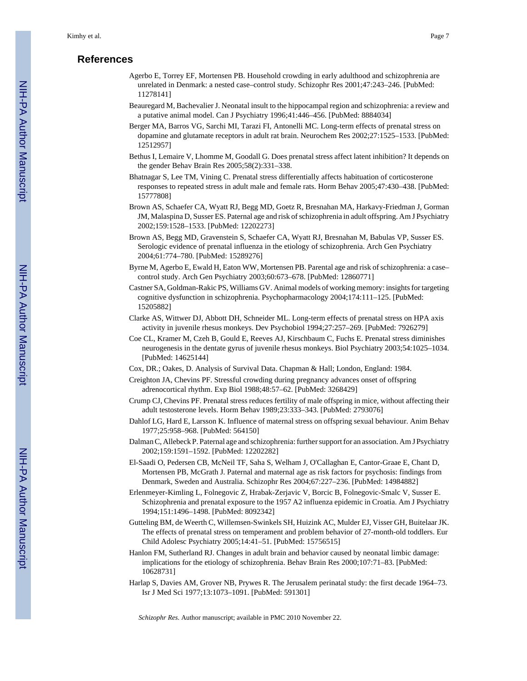## **References**

- Agerbo E, Torrey EF, Mortensen PB. Household crowding in early adulthood and schizophrenia are unrelated in Denmark: a nested case–control study. Schizophr Res 2001;47:243–246. [PubMed: 11278141]
- Beauregard M, Bachevalier J. Neonatal insult to the hippocampal region and schizophrenia: a review and a putative animal model. Can J Psychiatry 1996;41:446–456. [PubMed: 8884034]
- Berger MA, Barros VG, Sarchi MI, Tarazi FI, Antonelli MC. Long-term effects of prenatal stress on dopamine and glutamate receptors in adult rat brain. Neurochem Res 2002;27:1525–1533. [PubMed: 12512957]
- Bethus I, Lemaire V, Lhomme M, Goodall G. Does prenatal stress affect latent inhibition? It depends on the gender Behav Brain Res 2005;58(2):331–338.
- Bhatnagar S, Lee TM, Vining C. Prenatal stress differentially affects habituation of corticosterone responses to repeated stress in adult male and female rats. Horm Behav 2005;47:430–438. [PubMed: 15777808]
- Brown AS, Schaefer CA, Wyatt RJ, Begg MD, Goetz R, Bresnahan MA, Harkavy-Friedman J, Gorman JM, Malaspina D, Susser ES. Paternal age and risk of schizophrenia in adult offspring. Am J Psychiatry 2002;159:1528–1533. [PubMed: 12202273]
- Brown AS, Begg MD, Gravenstein S, Schaefer CA, Wyatt RJ, Bresnahan M, Babulas VP, Susser ES. Serologic evidence of prenatal influenza in the etiology of schizophrenia. Arch Gen Psychiatry 2004;61:774–780. [PubMed: 15289276]
- Byrne M, Agerbo E, Ewald H, Eaton WW, Mortensen PB. Parental age and risk of schizophrenia: a case– control study. Arch Gen Psychiatry 2003;60:673–678. [PubMed: 12860771]
- Castner SA, Goldman-Rakic PS, Williams GV. Animal models of working memory: insights for targeting cognitive dysfunction in schizophrenia. Psychopharmacology 2004;174:111–125. [PubMed: 15205882]
- Clarke AS, Wittwer DJ, Abbott DH, Schneider ML. Long-term effects of prenatal stress on HPA axis activity in juvenile rhesus monkeys. Dev Psychobiol 1994;27:257–269. [PubMed: 7926279]
- Coe CL, Kramer M, Czeh B, Gould E, Reeves AJ, Kirschbaum C, Fuchs E. Prenatal stress diminishes neurogenesis in the dentate gyrus of juvenile rhesus monkeys. Biol Psychiatry 2003;54:1025–1034. [PubMed: 14625144]
- Cox, DR.; Oakes, D. Analysis of Survival Data. Chapman & Hall; London, England: 1984.
- Creighton JA, Chevins PF. Stressful crowding during pregnancy advances onset of offspring adrenocortical rhythm. Exp Biol 1988;48:57–62. [PubMed: 3268429]
- Crump CJ, Chevins PF. Prenatal stress reduces fertility of male offspring in mice, without affecting their adult testosterone levels. Horm Behav 1989;23:333–343. [PubMed: 2793076]
- Dahlof LG, Hard E, Larsson K. Influence of maternal stress on offspring sexual behaviour. Anim Behav 1977;25:958–968. [PubMed: 564150]
- Dalman C, Allebeck P. Paternal age and schizophrenia: further support for an association. Am J Psychiatry 2002;159:1591–1592. [PubMed: 12202282]
- El-Saadi O, Pedersen CB, McNeil TF, Saha S, Welham J, O'Callaghan E, Cantor-Graae E, Chant D, Mortensen PB, McGrath J. Paternal and maternal age as risk factors for psychosis: findings from Denmark, Sweden and Australia. Schizophr Res 2004;67:227–236. [PubMed: 14984882]
- Erlenmeyer-Kimling L, Folnegovic Z, Hrabak-Zerjavic V, Borcic B, Folnegovic-Smalc V, Susser E. Schizophrenia and prenatal exposure to the 1957 A2 influenza epidemic in Croatia. Am J Psychiatry 1994;151:1496–1498. [PubMed: 8092342]
- Gutteling BM, de Weerth C, Willemsen-Swinkels SH, Huizink AC, Mulder EJ, Visser GH, Buitelaar JK. The effects of prenatal stress on temperament and problem behavior of 27-month-old toddlers. Eur Child Adolesc Psychiatry 2005;14:41–51. [PubMed: 15756515]
- Hanlon FM, Sutherland RJ. Changes in adult brain and behavior caused by neonatal limbic damage: implications for the etiology of schizophrenia. Behav Brain Res 2000;107:71–83. [PubMed: 10628731]
- Harlap S, Davies AM, Grover NB, Prywes R. The Jerusalem perinatal study: the first decade 1964–73. Isr J Med Sci 1977;13:1073–1091. [PubMed: 591301]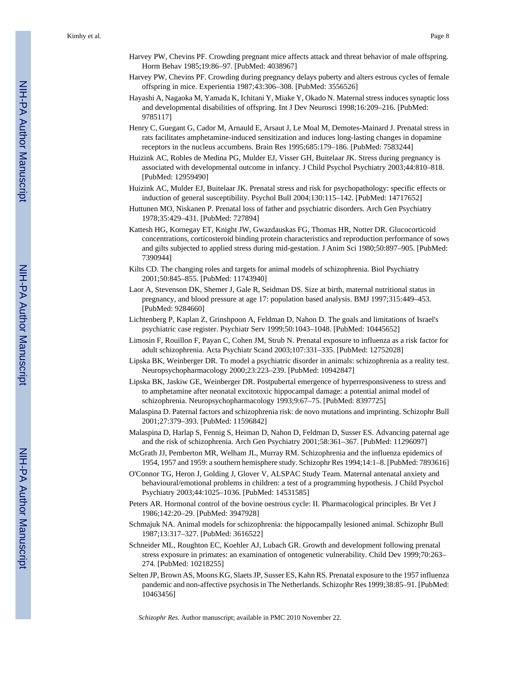- Harvey PW, Chevins PF. Crowding pregnant mice affects attack and threat behavior of male offspring. Horm Behav 1985;19:86–97. [PubMed: 4038967]
- Harvey PW, Chevins PF. Crowding during pregnancy delays puberty and alters estrous cycles of female offspring in mice. Experientia 1987;43:306–308. [PubMed: 3556526]
- Hayashi A, Nagaoka M, Yamada K, Ichitani Y, Miake Y, Okado N. Maternal stress induces synaptic loss and developmental disabilities of offspring. Int J Dev Neurosci 1998;16:209–216. [PubMed: 9785117]
- Henry C, Guegant G, Cador M, Arnauld E, Arsaut J, Le Moal M, Demotes-Mainard J. Prenatal stress in rats facilitates amphetamine-induced sensitization and induces long-lasting changes in dopamine receptors in the nucleus accumbens. Brain Res 1995;685:179–186. [PubMed: 7583244]
- Huizink AC, Robles de Medina PG, Mulder EJ, Visser GH, Buitelaar JK. Stress during pregnancy is associated with developmental outcome in infancy. J Child Psychol Psychiatry 2003;44:810–818. [PubMed: 12959490]
- Huizink AC, Mulder EJ, Buitelaar JK. Prenatal stress and risk for psychopathology: specific effects or induction of general susceptibility. Psychol Bull 2004;130:115–142. [PubMed: 14717652]
- Huttunen MO, Niskanen P. Prenatal loss of father and psychiatric disorders. Arch Gen Psychiatry 1978;35:429–431. [PubMed: 727894]
- Kattesh HG, Kornegay ET, Knight JW, Gwazdauskas FG, Thomas HR, Notter DR. Glucocorticoid concentrations, corticosteroid binding protein characteristics and reproduction performance of sows and gilts subjected to applied stress during mid-gestation. J Anim Sci 1980;50:897–905. [PubMed: 7390944]
- Kilts CD. The changing roles and targets for animal models of schizophrenia. Biol Psychiatry 2001;50:845–855. [PubMed: 11743940]
- Laor A, Stevenson DK, Shemer J, Gale R, Seidman DS. Size at birth, maternal nutritional status in pregnancy, and blood pressure at age 17: population based analysis. BMJ 1997;315:449–453. [PubMed: 9284660]
- Lichtenberg P, Kaplan Z, Grinshpoon A, Feldman D, Nahon D. The goals and limitations of Israel's psychiatric case register. Psychiatr Serv 1999;50:1043–1048. [PubMed: 10445652]
- Limosin F, Rouillon F, Payan C, Cohen JM, Strub N. Prenatal exposure to influenza as a risk factor for adult schizophrenia. Acta Psychiatr Scand 2003;107:331–335. [PubMed: 12752028]
- Lipska BK, Weinberger DR. To model a psychiatric disorder in animals: schizophrenia as a reality test. Neuropsychopharmacology 2000;23:223–239. [PubMed: 10942847]
- Lipska BK, Jaskiw GE, Weinberger DR. Postpubertal emergence of hyperresponsiveness to stress and to amphetamine after neonatal excitotoxic hippocampal damage: a potential animal model of schizophrenia. Neuropsychopharmacology 1993;9:67–75. [PubMed: 8397725]
- Malaspina D. Paternal factors and schizophrenia risk: de novo mutations and imprinting. Schizophr Bull 2001;27:379–393. [PubMed: 11596842]
- Malaspina D, Harlap S, Fennig S, Heiman D, Nahon D, Feldman D, Susser ES. Advancing paternal age and the risk of schizophrenia. Arch Gen Psychiatry 2001;58:361–367. [PubMed: 11296097]
- McGrath JJ, Pemberton MR, Welham JL, Murray RM. Schizophrenia and the influenza epidemics of 1954, 1957 and 1959: a southern hemisphere study. Schizophr Res 1994;14:1–8. [PubMed: 7893616]
- O'Connor TG, Heron J, Golding J, Glover V, ALSPAC Study Team. Maternal antenatal anxiety and behavioural/emotional problems in children: a test of a programming hypothesis. J Child Psychol Psychiatry 2003;44:1025–1036. [PubMed: 14531585]
- Peters AR. Hormonal control of the bovine oestrous cycle: II. Pharmacological principles. Br Vet J 1986;142:20–29. [PubMed: 3947928]
- Schmajuk NA. Animal models for schizophrenia: the hippocampally lesioned animal. Schizophr Bull 1987;13:317–327. [PubMed: 3616522]
- Schneider ML, Roughton EC, Koehler AJ, Lubach GR. Growth and development following prenatal stress exposure in primates: an examination of ontogenetic vulnerability. Child Dev 1999;70:263– 274. [PubMed: 10218255]
- Selten JP, Brown AS, Moons KG, Slaets JP, Susser ES, Kahn RS. Prenatal exposure to the 1957 influenza pandemic and non-affective psychosis in The Netherlands. Schizophr Res 1999;38:85–91. [PubMed: 10463456]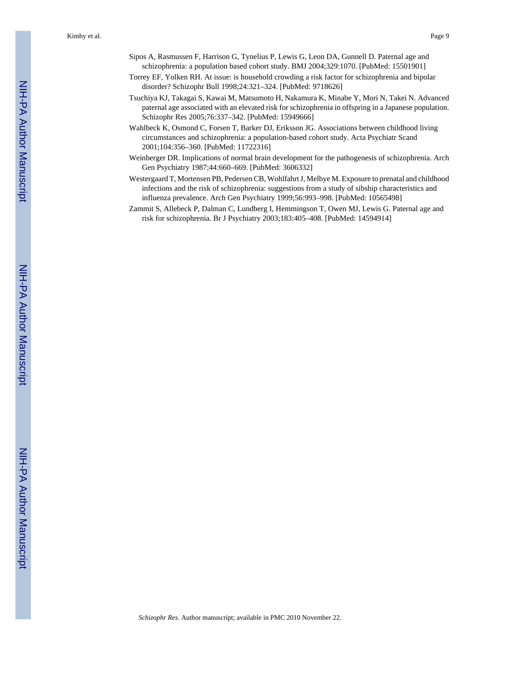Kimhy et al. Page 9

- Sipos A, Rasmussen F, Harrison G, Tynelius P, Lewis G, Leon DA, Gunnell D. Paternal age and schizophrenia: a population based cohort study. BMJ 2004;329:1070. [PubMed: 15501901]
- Torrey EF, Yolken RH. At issue: is household crowding a risk factor for schizophrenia and bipolar disorder? Schizophr Bull 1998;24:321–324. [PubMed: 9718626]
- Tsuchiya KJ, Takagai S, Kawai M, Matsumoto H, Nakamura K, Minabe Y, Mori N, Takei N. Advanced paternal age associated with an elevated risk for schizophrenia in offspring in a Japanese population. Schizophr Res 2005;76:337–342. [PubMed: 15949666]
- Wahlbeck K, Osmond C, Forsen T, Barker DJ, Eriksson JG. Associations between childhood living circumstances and schizophrenia: a population-based cohort study. Acta Psychiatr Scand 2001;104:356–360. [PubMed: 11722316]
- Weinberger DR. Implications of normal brain development for the pathogenesis of schizophrenia. Arch Gen Psychiatry 1987;44:660–669. [PubMed: 3606332]
- Westergaard T, Mortensen PB, Pedersen CB, Wohlfahrt J, Melbye M. Exposure to prenatal and childhood infections and the risk of schizophrenia: suggestions from a study of sibship characteristics and influenza prevalence. Arch Gen Psychiatry 1999;56:993–998. [PubMed: 10565498]
- Zammit S, Allebeck P, Dalman C, Lundberg I, Hemmingson T, Owen MJ, Lewis G. Paternal age and risk for schizophrenia. Br J Psychiatry 2003;183:405–408. [PubMed: 14594914]